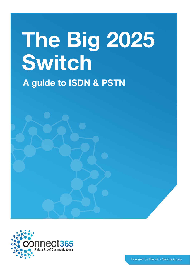# **The Big 2025 Switch A guide to ISDN & PSTN**

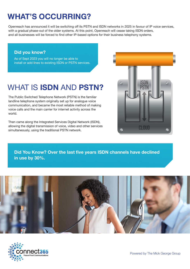## **WHAT'S OCCURRING?**

Openreach has announced it will be switching off its PSTN and ISDN networks in 2025 in favour of IP voice services, with a gradual phase-out of the older systems. At this point, Openreach will cease taking ISDN orders, and all businesses will be forced to find other IP-based options for their business telephony systems.

#### **Did you know?**

As of Sept 2023 you will no longer be able to install or add lines to existing ISDN or PSTN services.

#### WHAT IS **ISDN** AND **PSTN?**  $\overline{a}$  orders,  $\overline{a}$  is  $\overline{b}$  in  $\overline{b}$

Openreach has announced it will be switching

The Public Switched Telephone Network (PSTN) is the familiar landline telephone system originally set up for analogue voice communication, and became the most reliable method of making voice calls and the main carrier for internet activity across the world.

Then came along the Integrated Services Digital Network (ISDN), allowing the digital transmission of voice, video and other services simultaneously, using the traditional PSTN network.



**Did You Know? Over the last five years ISDN channels have declined in use by 30%.**



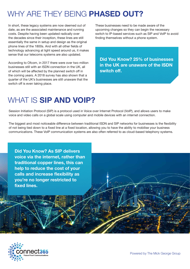## WHY ARE THEY BEING **PHASED OUT?**

In short, these legacy systems are now deemed out of date, as are the associated maintenance and running costs. Despite having been updated radically over the decades since their inception, these lines are still essentially the same in setup and design as the original phone lines of the 1800s. And with all other fields of technology advancing at light speed around us, it makes sense that our telecoms systems are also updated.

According to Ofcom, in 2017 there were over two million businesses still with an ISDN connection in the UK, all of which will be affected by the planned switch off in the coming years. A 2018 survey has also shown that a quarter of the UK's businesses are still unaware that the switch off is even taking place.

These businesses need to be made aware of the upcoming changes so they can begin the necessary switch to IP-based services such as SIP and VoIP to avoid finding themselves without a phone system.

**Did You Know? 25% of businesses in the UK are unaware of the ISDN switch off.**

#### WHAT IS **SIP AND VOIP?**

Session Initiation Protocol (SIP) is a protocol used in Voice over Internet Protocol (VoIP), and allows users to make voice and video calls on a global scale using computer and mobile devices with an internet connection.

The biggest and most noticeable difference between traditional ISDN and SIP networks for businesses is the flexibility of not being tied down to a fixed line at a fixed location, allowing you to have the ability to mobilise your business communications. These VoIP communication systems are also often referred to as cloud-based telephony systems.

**Did You Know? As SIP delivers voice via the internet, rather than traditional copper lines, this can help to reduce the cost of your calls and increase flexibility as you're no longer restricted to fixed lines.**